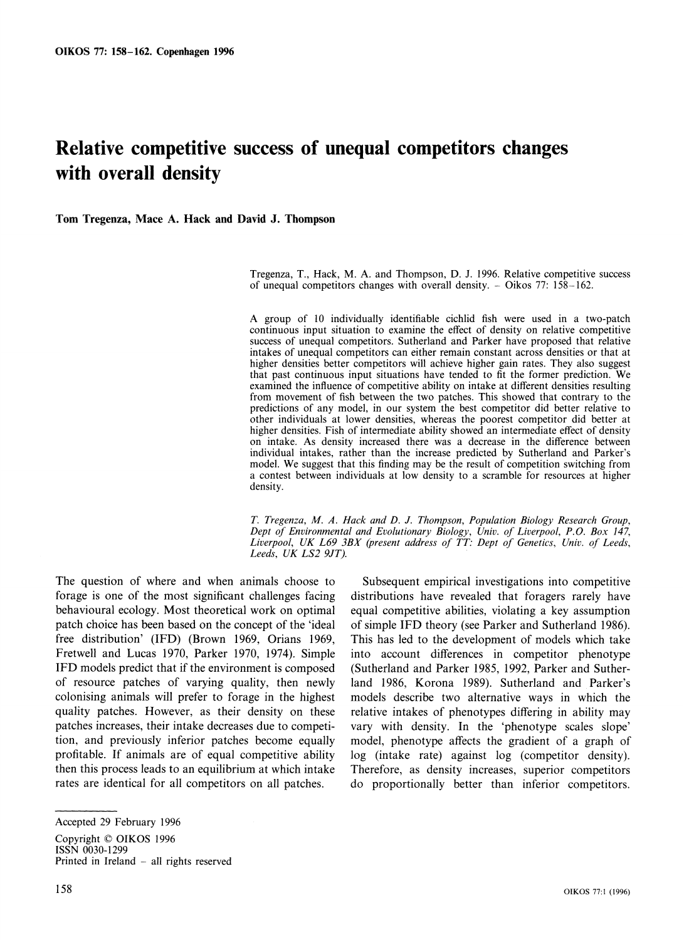# **Relative competitive success of unequal competitors changes with overall density**

**Tom Tregenza, Mace A. Hack and David J. Thompson** 

**Tregenza, T., Hack, M. A. and Thompson, D. J. 1996. Relative competitive success of unequal competitors changes with overall density. - Oikos 77: 158-162.** 

**A group of 10 individually identifiable cichlid fish were used in a two-patch continuous input situation to examine the effect of density on relative competitive success of unequal competitors. Sutherland and Parker have proposed that relative intakes of unequal competitors can either remain constant across densities or that at higher densities better competitors will achieve higher gain rates. They also suggest that past continuous input situations have tended to fit the former prediction. We**  examined the influence of competitive ability on intake at different densities resulting **from movement of fish between the two patches. This showed that contrary to the predictions of any model, in our system the best competitor did better relative to other individuals at lower densities, whereas the poorest competitor did better at**  higher densities. Fish of intermediate ability showed an intermediate effect of density **on intake. As density increased there was a decrease in the difference between individual intakes, rather than the increase predicted by Sutherland and Parker's model. We suggest that this finding may be the result of competition switching from a contest between individuals at low density to a scramble for resources at higher density.** 

**T. Tregenza, M. A. Hack and D. J. Thompson, Population Biology Research Group, Dept of Environmental and Evolutionary Biology, Univ. of Liverpool, P.O. Box 147, Liverpool, UK L69 3BX (present address of TT: Dept of Genetics, Univ. of Leeds, Leeds, UK LS2 9JT).** 

**The question of where and when animals choose to forage is one of the most significant challenges facing behavioural ecology. Most theoretical work on optimal patch choice has been based on the concept of the 'ideal free distribution' (IFD) (Brown 1969, Orians 1969, Fretwell and Lucas 1970, Parker 1970, 1974). Simple IFD models predict that if the environment is composed of resource patches of varying quality, then newly colonising animals will prefer to forage in the highest quality patches. However, as their density on these patches increases, their intake decreases due to competition, and previously inferior patches become equally profitable. If animals are of equal competitive ability then this process leads to an equilibrium at which intake rates are identical for all competitors on all patches.** 

**Copyright ? OIKOS 1996 ISSN 0030-1299 Printed in Ireland - all rights reserved** 

**Subsequent empirical investigations into competitive distributions have revealed that foragers rarely have equal competitive abilities, violating a key assumption of simple IFD theory (see Parker and Sutherland 1986). This has led to the development of models which take into account differences in competitor phenotype (Sutherland and Parker 1985, 1992, Parker and Sutherland 1986, Korona 1989). Sutherland and Parker's models describe two alternative ways in which the relative intakes of phenotypes differing in ability may vary with density. In the 'phenotype scales slope' model, phenotype affects the gradient of a graph of log (intake rate) against log (competitor density). Therefore, as density increases, superior competitors do proportionally better than inferior competitors.** 

**Accepted 29 February 1996**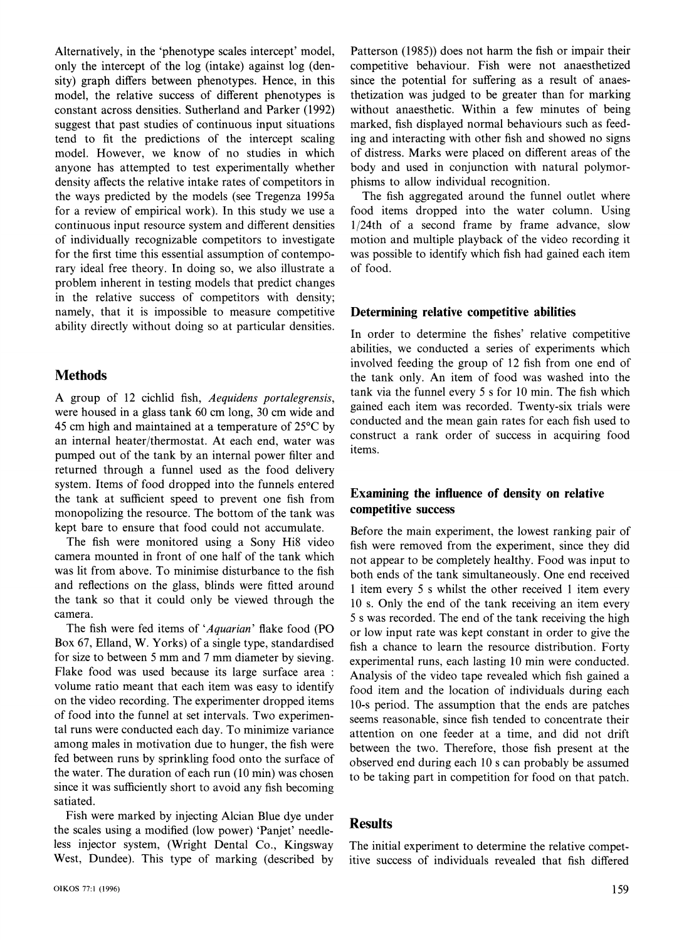**Alternatively, in the 'phenotype scales intercept' model, only the intercept of the log (intake) against log (density) graph differs between phenotypes. Hence, in this model, the relative success of different phenotypes is constant across densities. Sutherland and Parker (1992) suggest that past studies of continuous input situations tend to fit the predictions of the intercept scaling model. However, we know of no studies in which anyone has attempted to test experimentally whether density affects the relative intake rates of competitors in the ways predicted by the models (see Tregenza 1995a for a review of empirical work). In this study we use a continuous input resource system and different densities of individually recognizable competitors to investigate for the first time this essential assumption of contemporary ideal free theory. In doing so, we also illustrate a problem inherent in testing models that predict changes in the relative success of competitors with density; namely, that it is impossible to measure competitive ability directly without doing so at particular densities.** 

# **Methods**

**A group of 12 cichlid fish, Aequidens portalegrensis, were housed in a glass tank 60 cm long, 30 cm wide and 45 cm high and maintained at a temperature of 25?C by an internal heater/thermostat. At each end, water was pumped out of the tank by an internal power filter and returned through a funnel used as the food delivery system. Items of food dropped into the funnels entered the tank at sufficient speed to prevent one fish from monopolizing the resource. The bottom of the tank was kept bare to ensure that food could not accumulate.** 

**The fish were monitored using a Sony Hi8 video camera mounted in front of one half of the tank which was lit from above. To minimise disturbance to the fish and reflections on the glass, blinds were fitted around the tank so that it could only be viewed through the camera.** 

**The fish were fed items of 'Aquarian' flake food (PO Box 67, Elland, W. Yorks) of a single type, standardised for size to between 5 mm and 7 mm diameter by sieving. Flake food was used because its large surface area: volume ratio meant that each item was easy to identify on the video recording. The experimenter dropped items of food into the funnel at set intervals. Two experimental runs were conducted each day. To minimize variance among males in motivation due to hunger, the fish were fed between runs by sprinkling food onto the surface of the water. The duration of each run (10 min) was chosen since it was sufficiently short to avoid any fish becoming satiated.** 

**Fish were marked by injecting Alcian Blue dye under the scales using a modified (low power) 'Panjet' needleless injector system, (Wright Dental Co., Kingsway West, Dundee). This type of marking (described by** 

**Patterson (1985)) does not harm the fish or impair their competitive behaviour. Fish were not anaesthetized since the potential for suffering as a result of anaesthetization was judged to be greater than for marking without anaesthetic. Within a few minutes of being marked, fish displayed normal behaviours such as feeding and interacting with other fish and showed no signs of distress. Marks were placed on different areas of the body and used in conjunction with natural polymorphisms to allow individual recognition.** 

**The fish aggregated around the funnel outlet where food items dropped into the water column. Using 1/24th of a second frame by frame advance, slow motion and multiple playback of the video recording it was possible to identify which fish had gained each item of food.** 

#### **Determining relative competitive abilities**

**In order to determine the fishes' relative competitive abilities, we conducted a series of experiments which involved feeding the group of 12 fish from one end of the tank only. An item of food was washed into the tank via the funnel every 5 s for 10 min. The fish which gained each item was recorded. Twenty-six trials were conducted and the mean gain rates for each fish used to construct a rank order of success in acquiring food items.** 

### **Examining the influence of density on relative competitive success**

**Before the main experiment, the lowest ranking pair of fish were removed from the experiment, since they did not appear to be completely healthy. Food was input to both ends of the tank simultaneously. One end received 1 item every 5 s whilst the other received 1 item every 10 s. Only the end of the tank receiving an item every 5 s was recorded. The end of the tank receiving the high or low input rate was kept constant in order to give the fish a chance to learn the resource distribution. Forty experimental runs, each lasting 10 min were conducted. Analysis of the video tape revealed which fish gained a food item and the location of individuals during each 10-s period. The assumption that the ends are patches seems reasonable, since fish tended to concentrate their attention on one feeder at a time, and did not drift between the two. Therefore, those fish present at the observed end during each 10 s can probably be assumed to be taking part in competition for food on that patch.** 

## **Results**

**The initial experiment to determine the relative competitive success of individuals revealed that fish differed**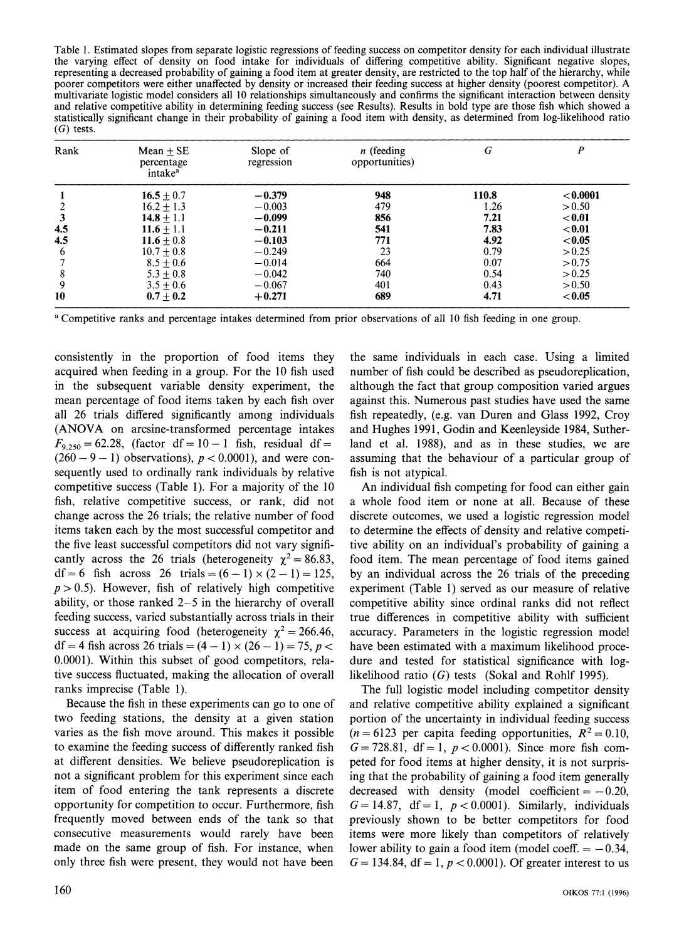**Table 1. Estimated slopes from separate logistic regressions of feeding success on competitor density for each individual illustrate the varying effect of density on food intake for individuals of differing competitive ability. Significant negative slopes, representing a decreased probability of gaining a food item at greater density, are restricted to the top half of the hierarchy, while poorer competitors were either unaffected by density or increased their feeding success at higher density (poorest competitor). A multivariate logistic model considers all 10 relationshipsimultaneously and confirms the significant interaction between density and relative competitive ability in determining feeding success (see Results). Results in bold type are those fish which showed a statistically significant change in their probability of gaining a food item with density, as determined from log-likelihood ratio (G) tests.** 

| Rank | $Mean + SE$<br>percentage<br>intake <sup>a</sup> | Slope of<br>regression | $n$ (feeding<br>opportunities) | G     | P         |
|------|--------------------------------------------------|------------------------|--------------------------------|-------|-----------|
|      | $16.5 + 0.7$                                     | $-0.379$               | 948                            | 110.8 | < 0.0001  |
|      | $16.2 + 1.3$                                     | $-0.003$               | 479                            | 1.26  | > 0.50    |
|      | $14.8 + 1.1$                                     | $-0.099$               | 856                            | 7.21  | < 0.01    |
| 4.5  | $11.6 + 1.1$                                     | $-0.211$               | 541                            | 7.83  | < 0.01    |
| 4.5  | $11.6 \pm 0.8$                                   | $-0.103$               | 771                            | 4.92  | ${<}0.05$ |
| 6    | $10.7 \pm 0.8$                                   | $-0.249$               | 23                             | 0.79  | > 0.25    |
|      | $8.5 + 0.6$                                      | $-0.014$               | 664                            | 0.07  | > 0.75    |
| 8    | $5.3 + 0.8$                                      | $-0.042$               | 740                            | 0.54  | > 0.25    |
| 9    | $3.5 \pm 0.6$                                    | $-0.067$               | 401                            | 0.43  | > 0.50    |
| 10   | $0.7 \pm 0.2$                                    | $+0.271$               | 689                            | 4.71  | < 0.05    |

**<sup>a</sup>Competitive ranks and percentage intakes determined from prior observations of all 10 fish feeding in one group.** 

**consistently in the proportion of food items they acquired when feeding in a group. For the 10 fish used in the subsequent variable density experiment, the mean percentage of food items taken by each fish over all 26 trials differed significantly among individuals (ANOVA on arcsine-transformed percentage intakes**   $F_{9,250} = 62.28$ , (factor df = 10 - 1 fish, residual df =  $(260 - 9 - 1)$  observations),  $p < 0.0001$ ), and were con**sequently used to ordinally rank individuals by relative competitive success (Table 1). For a majority of the 10 fish, relative competitive success, or rank, did not change across the 26 trials; the relative number of food items taken each by the most successful competitor and the five least successful competitors did not vary signifi**cantly across the 26 trials (heterogeneity  $\chi^2 = 86.83$ ,  $df = 6$  fish across 26 trials =  $(6 - 1) \times (2 - 1) = 125$ ,  $p > 0.5$ ). However, fish of relatively high competitive **ability, or those ranked 2-5 in the hierarchy of overall feeding success, varied substantially across trials in their**  success at acquiring food (heterogeneity  $\chi^2 = 266.46$ ,  $df = 4$  fish across 26 trials =  $(4 - 1) \times (26 - 1) = 75$ , p < **0.0001). Within this subset of good competitors, relative success fluctuated, making the allocation of overall ranks imprecise (Table 1).** 

**Because the fish in these experiments can go to one of two feeding stations, the density at a given station varies as the fish move around. This makes it possible to examine the feeding success of differently ranked fish at different densities. We believe pseudoreplication is not a significant problem for this experiment since each item of food entering the tank represents a discrete opportunity for competition to occur. Furthermore, fish frequently moved between ends of the tank so that consecutive measurements would rarely have been made on the same group of fish. For instance, when only three fish were present, they would not have been** 

**the same individuals in each case. Using a limited number of fish could be described as pseudoreplication, although the fact that group composition varied argues against this. Numerous past studies have used the same fish repeatedly, (e.g. van Duren and Glass 1992, Croy and Hughes 1991, Godin and Keenleyside 1984, Sutherland et al. 1988), and as in these studies, we are assuming that the behaviour of a particular group of fish is not atypical.** 

**An individual fish competing for food can either gain a whole food item or none at all. Because of these discrete outcomes, we used a logistic regression model to determine the effects of density and relative competitive ability on an individual's probability of gaining a food item. The mean percentage of food items gained by an individual across the 26 trials of the preceding experiment (Table 1) served as our measure of relative competitive ability since ordinal ranks did not reflect true differences in competitive ability with sufficient accuracy. Parameters in the logistic regression model have been estimated with a maximum likelihood procedure and tested for statistical significance with loglikelihood ratio (G) tests (Sokal and Rohlf 1995).** 

**The full logistic model including competitor density and relative competitive ability explained a significant portion of the uncertainty in individual feeding success**   $(n = 6123 \text{ per capita feeding opportunities, } R^2 = 0.10,$  $G = 728.81$ ,  $df = 1$ ,  $p < 0.0001$ ). Since more fish com**peted for food items at higher density, it is not surprising that the probability of gaining a food item generally**  decreased with density (model coefficient  $= -0.20$ ,  $G = 14.87$ ,  $df = 1$ ,  $p < 0.0001$ ). Similarly, individuals **previously shown to be better competitors for food items were more likely than competitors of relatively**  lower ability to gain a food item (model coeff.  $= -0.34$ ,  $G = 134.84$ ,  $df = 1$ ,  $p < 0.0001$ ). Of greater interest to us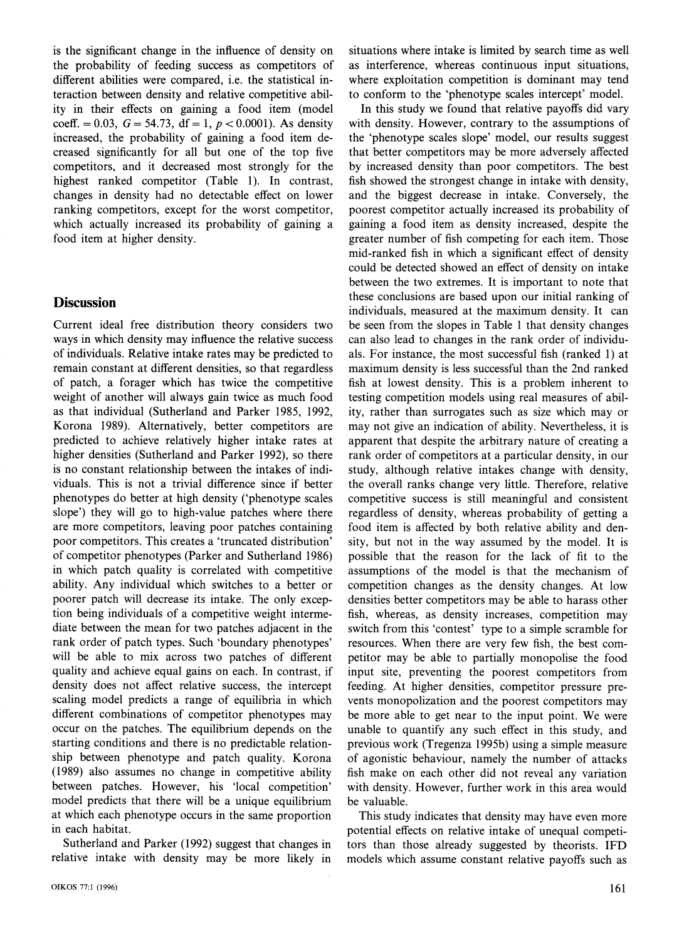**is the significant change in the influence of density on the probability of feeding success as competitors of different abilities were compared, i.e. the statistical interaction between density and relative competitive ability in their effects on gaining a food item (model**  coeff.  $= 0.03$ ,  $G = 54.73$ ,  $df = 1$ ,  $p < 0.0001$ ). As density **increased, the probability of gaining a food item decreased significantly for all but one of the top five competitors, and it decreased most strongly for the highest ranked competitor (Table 1). In contrast, changes in density had no detectable effect on lower ranking competitors, except for the worst competitor, which actually increased its probability of gaining a food item at higher density.** 

#### **Discussion**

**Current ideal free distribution theory considers two ways in which density may influence the relative success of individuals. Relative intake rates may be predicted to remain constant at different densities, so that regardless of patch, a forager which has twice the competitive weight of another will always gain twice as much food as that individual (Sutherland and Parker 1985, 1992, Korona 1989). Alternatively, better competitors are predicted to achieve relatively higher intake rates at higher densities (Sutherland and Parker 1992), so there is no constant relationship between the intakes of individuals. This is not a trivial difference since if better phenotypes do better at high density ('phenotype scales slope') they will go to high-value patches where there are more competitors, leaving poor patches containing poor competitors. This creates a 'truncated distribution' of competitor phenotypes (Parker and Sutherland 1986) in which patch quality is correlated with competitive ability. Any individual which switches to a better or poorer patch will decrease its intake. The only exception being individuals of a competitive weight intermediate between the mean for two patches adjacent in the rank order of patch types. Such 'boundary phenotypes' will be able to mix across two patches of different quality and achieve equal gains on each. In contrast, if density does not affect relative success, the intercept scaling model predicts a range of equilibria in which different combinations of competitor phenotypes may occur on the patches. The equilibrium depends on the starting conditions and there is no predictable relationship between phenotype and patch quality. Korona (1989) also assumes no change in competitive ability between patches. However, his 'local competition' model predicts that there will be a unique equilibrium at which each phenotype occurs in the same proportion in each habitat.** 

**Sutherland and Parker (1992) suggest that changes in relative intake with density may be more likely in**  **situations where intake is limited by search time as well as interference, whereas continuous input situations, where exploitation competition is dominant may tend to conform to the 'phenotype scales intercept' model.** 

**In this study we found that relative payoffs did vary with density. However, contrary to the assumptions of the 'phenotype scales slope' model, our results suggest that better competitors may be more adversely affected by increased density than poor competitors. The best fish showed the strongest change in intake with density, and the biggest decrease in intake. Conversely, the poorest competitor actually increased its probability of gaining a food item as density increased, despite the greater number of fish competing for each item. Those mid-ranked fish in which a significant effect of density could be detected showed an effect of density on intake between the two extremes. It is important to note that these conclusions are based upon our initial ranking of individuals, measured at the maximum density. It can be seen from the slopes in Table 1 that density changes can also lead to changes in the rank order of individuals. For instance, the most successful fish (ranked 1) at maximum density is less successful than the 2nd ranked fish at lowest density. This is a problem inherent to testing competition models using real measures of ability, rather than surrogates such as size which may or may not give an indication of ability. Nevertheless, it is apparent that despite the arbitrary nature of creating a rank order of competitors at a particular density, in our study, although relative intakes change with density, the overall ranks change very little. Therefore, relative competitive success is still meaningful and consistent regardless of density, whereas probability of getting a food item is affected by both relative ability and density, but not in the way assumed by the model. It is possible that the reason for the lack of fit to the assumptions of the model is that the mechanism of competition changes as the density changes. At low densities better competitors may be able to harass other fish, whereas, as density increases, competition may switch from this 'contest' type to a simple scramble for resources. When there are very few fish, the best competitor may be able to partially monopolise the food input site, preventing the poorest competitors from feeding. At higher densities, competitor pressure prevents monopolization and the poorest competitors may be more able to get near to the input point. We were unable to quantify any such effect in this study, and previous work (Tregenza 1995b) using a simple measure of agonistic behaviour, namely the number of attacks fish make on each other did not reveal any variation with density. However, further work in this area would be valuable.** 

**This study indicates that density may have even more potential effects on relative intake of unequal competitors than those already suggested by theorists. IFD models which assume constant relative payoffs such as**